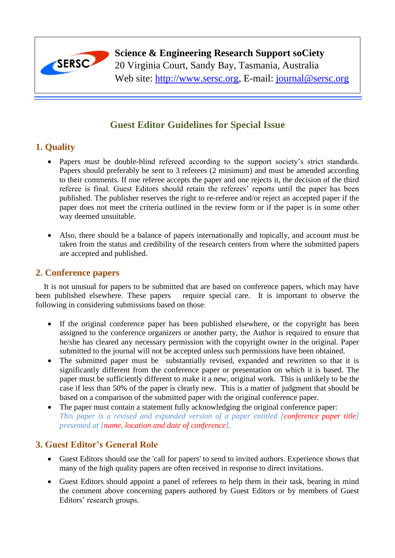

**Science & Engineering Research Support soCiety**

20 Virginia Court, Sandy Bay, Tasmania, Australia

Web site: [http://www.sersc.org,](http://www.sersc.org/) E-mail: [journal@sersc.org](mailto:journal@sersc.org)

# **Guest Editor Guidelines for Special Issue**

### **1. Quality**

- Papers *must* be double-blind refereed according to the support society's strict standards. Papers should preferably be sent to 3 referees (2 minimum) and must be amended according to their comments. If one referee accepts the paper and one rejects it, the decision of the third referee is final. Guest Editors should retain the referees' reports until the paper has been published. The publisher reserves the right to re-referee and/or reject an accepted paper if the paper does not meet the criteria outlined in the review form or if the paper is in some other way deemed unsuitable.
- Also, there should be a balance of papers internationally and topically, and account must be taken from the status and credibility of the research centers from where the submitted papers are accepted and published.

### **2. Conference papers**

It is not unusual for papers to be submitted that are based on conference papers, which may have been published elsewhere. These papers require special care. It is important to observe the following in considering submissions based on those:

- If the original conference paper has been published elsewhere, or the copyright has been assigned to the conference organizers or another party, the Author is required to ensure that he/she has cleared any necessary permission with the copyright owner in the original. Paper submitted to the journal will not be accepted unless such permissions have been obtained.
- The submitted paper must be substantially revised, expanded and rewritten so that it is significantly different from the conference paper or presentation on which it is based. The paper must be sufficiently different to make it a new, original work. This is unlikely to be the case if less than 50% of the paper is clearly new. This is a matter of judgment that should be based on a comparison of the submitted paper with the original conference paper.
- The paper must contain a statement fully acknowledging the original conference paper: *This paper is a revised and expanded version of a paper entitled [conference paper title] presented at [name, location and date of conference].*

## **3. Guest Editor's General Role**

- Guest Editors should use the 'call for papers' to send to invited authors. Experience shows that many of the high quality papers are often received in response to direct invitations.
- Guest Editors should appoint a panel of referees to help them in their task, bearing in mind the comment above concerning papers authored by Guest Editors or by members of Guest Editors' research groups.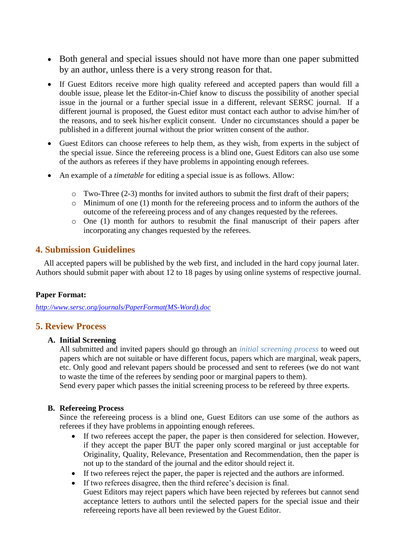- Both general and special issues should not have more than one paper submitted by an author, unless there is a very strong reason for that.
- If Guest Editors receive more high quality refereed and accepted papers than would fill a double issue, please let the Editor-in-Chief know to discuss the possibility of another special issue in the journal or a further special issue in a different, relevant SERSC journal. If a different journal is proposed, the Guest editor must contact each author to advise him/her of the reasons, and to seek his/her explicit consent. Under no circumstances should a paper be published in a different journal without the prior written consent of the author.
- Guest Editors can choose referees to help them, as they wish, from experts in the subject of the special issue. Since the refereeing process is a blind one, Guest Editors can also use some of the authors as referees if they have problems in appointing enough referees.
- An example of a *timetable* for editing a special issue is as follows. Allow:
	- o Two-Three (2-3) months for invited authors to submit the first draft of their papers;
	- o Minimum of one (1) month for the refereeing process and to inform the authors of the outcome of the refereeing process and of any changes requested by the referees.
	- o One (1) month for authors to resubmit the final manuscript of their papers after incorporating any changes requested by the referees.

### **4. Submission Guidelines**

All accepted papers will be published by the web first, and included in the hard copy journal later. Authors should submit paper with about 12 to 18 pages by using online systems of respective journal.

#### **Paper Format:**

*[http://www.sersc.org/journals/PaperFormat\(MS-Word\).doc](http://www.sersc.org/journals/PaperFormat(MS-Word).doc)*

#### **5. Review Process**

#### **A. Initial Screening**

All submitted and invited papers should go through an *initial screening process* to weed out papers which are not suitable or have different focus, papers which are marginal, weak papers, etc. Only good and relevant papers should be processed and sent to referees (we do not want to waste the time of the referees by sending poor or marginal papers to them).

Send every paper which passes the initial screening process to be refereed by three experts.

#### **B. Refereeing Process**

Since the refereeing process is a blind one, Guest Editors can use some of the authors as referees if they have problems in appointing enough referees.

- If two referees accept the paper, the paper is then considered for selection. However, if they accept the paper BUT the paper only scored marginal or just acceptable for Originality, Quality, Relevance, Presentation and Recommendation, then the paper is not up to the standard of the journal and the editor should reject it.
- If two referees reject the paper, the paper is rejected and the authors are informed.
- If two referees disagree, then the third referee's decision is final.
	- Guest Editors may reject papers which have been rejected by referees but cannot send acceptance letters to authors until the selected papers for the special issue and their refereeing reports have all been reviewed by the Guest Editor.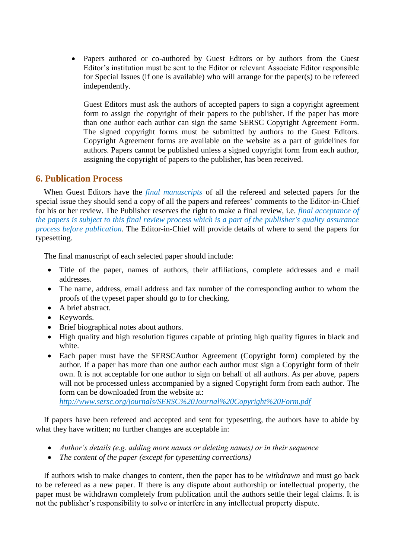• Papers authored or co-authored by Guest Editors or by authors from the Guest Editor's institution must be sent to the Editor or relevant Associate Editor responsible for Special Issues (if one is available) who will arrange for the paper(s) to be refereed independently.

Guest Editors must ask the authors of accepted papers to sign a copyright agreement form to assign the copyright of their papers to the publisher. If the paper has more than one author each author can sign the same SERSC Copyright Agreement Form. The signed copyright forms must be submitted by authors to the Guest Editors. Copyright Agreement forms are available on the website as a part of guidelines for authors. Papers cannot be published unless a signed copyright form from each author, assigning the copyright of papers to the publisher, has been received.

### **6. Publication Process**

When Guest Editors have the *final manuscripts* of all the refereed and selected papers for the special issue they should send a copy of all the papers and referees' comments to the Editor-in-Chief for his or her review. The Publisher reserves the right to make a final review, i.e*. final acceptance of the papers is subject to this final review process which is a part of the publisher's quality assurance process before publication.* The Editor-in-Chief will provide details of where to send the papers for typesetting.

The final manuscript of each selected paper should include:

- Title of the paper, names of authors, their affiliations, complete addresses and e mail addresses.
- The name, address, email address and fax number of the corresponding author to whom the proofs of the typeset paper should go to for checking.
- A brief abstract.
- Keywords.
- Brief biographical notes about authors.
- High quality and high resolution figures capable of printing high quality figures in black and white.
- Each paper must have the SERSCAuthor Agreement (Copyright form) completed by the author. If a paper has more than one author each author must sign a Copyright form of their own. It is not acceptable for one author to sign on behalf of all authors. As per above, papers will not be processed unless accompanied by a signed Copyright form from each author. The form can be downloaded from the website at:

*<http://www.sersc.org/journals/SERSC%20Journal%20Copyright%20Form.pdf>*

If papers have been refereed and accepted and sent for typesetting, the authors have to abide by what they have written; no further changes are acceptable in:

- *Author's details (e.g. adding more names or deleting names) or in their sequence*
- *The content of the paper (except for typesetting corrections)*

If authors wish to make changes to content, then the paper has to be *withdrawn* and must go back to be refereed as a new paper. If there is any dispute about authorship or intellectual property, the paper must be withdrawn completely from publication until the authors settle their legal claims. It is not the publisher's responsibility to solve or interfere in any intellectual property dispute.